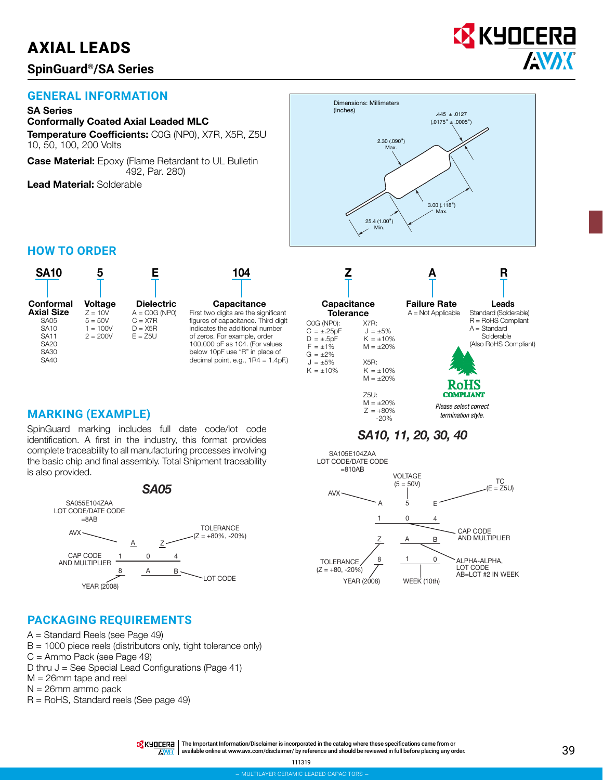# AXIAL LEADS

## **SpinGuard®/SA Series**

# **EX** KYOCERA **AVAX**

## **GENERAL INFORMATION**

#### SA Series

#### Conformally Coated Axial Leaded MLC

Temperature Coefficients: C0G (NP0), X7R, X5R, Z5U 10, 50, 100, 200 Volts

**Case Material:** Epoxy (Flame Retardant to UL Bulletin 492, Par. 280)

Lead Material: Solderable



### **HOW TO ORDER**



## **MARKING (EXAMPLE)**  $Z = +809$

SpinGuard marking includes full date code/lot code identification. A first in the industry, this format provides complete traceability to all manufacturing processes involving the basic chip and final assembly. Total Shipment traceability is also provided.



#### **PACKAGING REQUIREMENTS**

- A = Standard Reels (see Page 49)
- $B = 1000$  piece reels (distributors only, tight tolerance only)
- C = Ammo Pack (see Page 49)
- D thru  $J =$  See Special Lead Configurations (Page 41)
- M = 26mm tape and reel
- N = 26mm ammo pack
- R = RoHS, Standard reels (See page 49)

TR KHOLER<sub>C</sub> | The Important Information/Disclaimer is incorporated in the catalog where these specifications came from or available online at [www.avx.com/disclaimer/](http://www.avx.com/disclaimer/) by reference and should be reviewed in full before placing any order. 39 **INAK** 

Failure Rate  $A = Not$  Applicable Leads Standard (Solderable)  $R =$  RoHS Compliant  $A =$ Standard

Solderable (Also RoHS Compliant) RoHS *Please select correct* 

*termination style.*

*SA10, 11, 20, 30, 40*

**Capacitance Tolerance** 

> X7R:  $J = \pm 5\%$  $K = \pm 10\%$  $M = +20%$ X5R:  $K = \pm 10\%$  $M = \pm 20\%$ Z5U:  $M = \pm 20\%$ <br>Z =  $+80\%$

C0G (NP0):  $C = \pm .25pF$  $D = +.5pF$  $F = \pm 1\%$  $G = \pm 2\%$  $J = \pm 5\%$  $K = \pm 10\%$ 

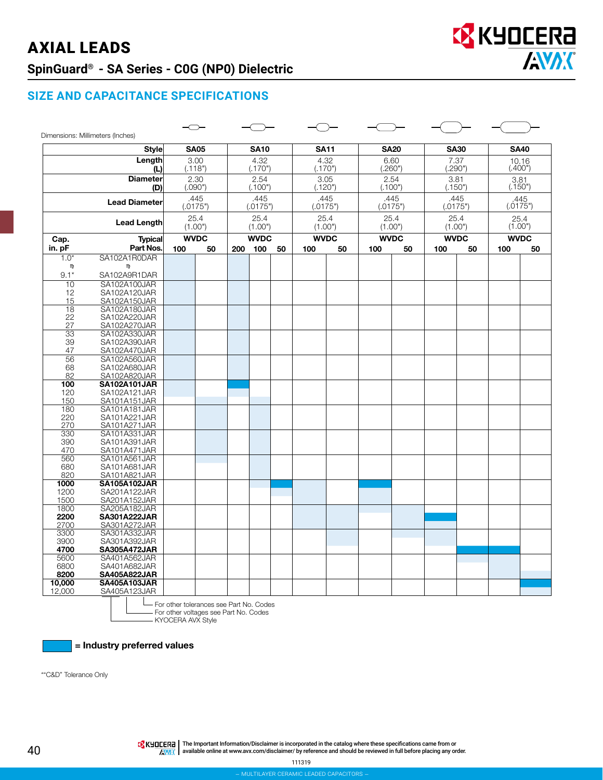# AXIAL LEADS **SpinGuard® - SA Series - C0G (NP0) Dielectric**



#### **SIZE AND CAPACITANCE SPECIFICATIONS**

|                        | Dimensions: Millimeters (Inches)    |                 |                  |                 |                  |    |                 |      |                 |                  |                  |    |                  |                  |
|------------------------|-------------------------------------|-----------------|------------------|-----------------|------------------|----|-----------------|------|-----------------|------------------|------------------|----|------------------|------------------|
|                        | <b>Style</b>                        |                 | <b>SA05</b>      |                 | <b>SA10</b>      |    | <b>SA11</b>     |      | <b>SA20</b>     |                  | <b>SA30</b>      |    | <b>SA40</b>      |                  |
|                        | Length<br>(L)                       | 3.00<br>(.118") |                  | 4.32<br>(.170") |                  |    | 4.32<br>(.170") |      | 6.60<br>(.260") |                  | 7.37<br>(.290")  |    | 10.16<br>(.400") |                  |
|                        | <b>Diameter</b><br>(D)              |                 | 2.30<br>(.090")  |                 | 2.54<br>(.100")  |    | 3.05<br>(.120") |      |                 | 2.54<br>(.100")  | 3.81<br>(.150")  |    |                  | 3.81<br>(.150")  |
|                        | <b>Lead Diameter</b>                |                 | .445<br>(.0175") |                 | .445<br>(.0175") |    | (.0175")        | .445 |                 | .445<br>(.0175") | .445<br>(.0175") |    |                  | .445<br>(.0175") |
|                        | <b>Lead Length</b>                  |                 | 25.4<br>(1.00")  |                 | 25.4<br>(1.00")  |    | 25.4<br>(1.00") |      | 25.4<br>(1.00") |                  | 25.4<br>(1.00")  |    | 25.4<br>(1.00")  |                  |
| Cap.<br><b>Typical</b> |                                     | <b>WVDC</b>     |                  | <b>WVDC</b>     |                  |    | <b>WVDC</b>     |      | <b>WVDC</b>     |                  | <b>WVDC</b>      |    | <b>WVDC</b>      |                  |
| in. pF                 | Part Nos.                           | 100             | 50               | 200             | 100              | 50 | 100             | 50   | 100             | 50               | 100              | 50 | 100              | 50               |
| $1.0*$                 | SA102A1R0DAR                        |                 |                  |                 |                  |    |                 |      |                 |                  |                  |    |                  |                  |
| m                      | m                                   |                 |                  |                 |                  |    |                 |      |                 |                  |                  |    |                  |                  |
| $9.1*$                 | SA102A9R1DAR                        |                 |                  |                 |                  |    |                 |      |                 |                  |                  |    |                  |                  |
| 10                     | SA102A100JAR                        |                 |                  |                 |                  |    |                 |      |                 |                  |                  |    |                  |                  |
| 12                     | SA102A120JAR                        |                 |                  |                 |                  |    |                 |      |                 |                  |                  |    |                  |                  |
| 15                     | SA102A150JAR                        |                 |                  |                 |                  |    |                 |      |                 |                  |                  |    |                  |                  |
| 18                     | SA102A180JAR                        |                 |                  |                 |                  |    |                 |      |                 |                  |                  |    |                  |                  |
| 22                     | SA102A220JAR                        |                 |                  |                 |                  |    |                 |      |                 |                  |                  |    |                  |                  |
| 27                     | SA102A270JAR                        |                 |                  |                 |                  |    |                 |      |                 |                  |                  |    |                  |                  |
| 33                     | SA102A330JAR                        |                 |                  |                 |                  |    |                 |      |                 |                  |                  |    |                  |                  |
| 39                     | SA102A390JAR                        |                 |                  |                 |                  |    |                 |      |                 |                  |                  |    |                  |                  |
| 47                     | SA102A470JAR                        |                 |                  |                 |                  |    |                 |      |                 |                  |                  |    |                  |                  |
| 56                     | SA102A560JAR                        |                 |                  |                 |                  |    |                 |      |                 |                  |                  |    |                  |                  |
| 68                     | SA102A680JAR                        |                 |                  |                 |                  |    |                 |      |                 |                  |                  |    |                  |                  |
| 82                     | SA102A820JAR                        |                 |                  |                 |                  |    |                 |      |                 |                  |                  |    |                  |                  |
| 100                    | <b>SA102A101JAR</b>                 |                 |                  |                 |                  |    |                 |      |                 |                  |                  |    |                  |                  |
| 120                    | SA102A121JAR                        |                 |                  |                 |                  |    |                 |      |                 |                  |                  |    |                  |                  |
| 150<br>180             | SA101A151JAR<br>SA101A181JAR        |                 |                  |                 |                  |    |                 |      |                 |                  |                  |    |                  |                  |
| 220                    | SA101A221JAR                        |                 |                  |                 |                  |    |                 |      |                 |                  |                  |    |                  |                  |
| 270                    | SA101A271JAR                        |                 |                  |                 |                  |    |                 |      |                 |                  |                  |    |                  |                  |
| 330                    | SA101A331JAR                        |                 |                  |                 |                  |    |                 |      |                 |                  |                  |    |                  |                  |
| 390                    | SA101A391JAR                        |                 |                  |                 |                  |    |                 |      |                 |                  |                  |    |                  |                  |
| 470                    | SA101A471JAR                        |                 |                  |                 |                  |    |                 |      |                 |                  |                  |    |                  |                  |
| 560                    | SA101A561JAR                        |                 |                  |                 |                  |    |                 |      |                 |                  |                  |    |                  |                  |
| 680                    | SA101A681JAR                        |                 |                  |                 |                  |    |                 |      |                 |                  |                  |    |                  |                  |
| 820                    | SA101A821JAR                        |                 |                  |                 |                  |    |                 |      |                 |                  |                  |    |                  |                  |
| 1000                   | <b>SA105A102JAR</b>                 |                 |                  |                 |                  |    |                 |      |                 |                  |                  |    |                  |                  |
| 1200                   | SA201A122JAR                        |                 |                  |                 |                  |    |                 |      |                 |                  |                  |    |                  |                  |
| 1500                   | SA201A152JAR                        |                 |                  |                 |                  |    |                 |      |                 |                  |                  |    |                  |                  |
| 1800                   | SA205A182JAR                        |                 |                  |                 |                  |    |                 |      |                 |                  |                  |    |                  |                  |
| 2200                   | <b>SA301A222JAR</b>                 |                 |                  |                 |                  |    |                 |      |                 |                  |                  |    |                  |                  |
| 2700                   | SA301A272JAR                        |                 |                  |                 |                  |    |                 |      |                 |                  |                  |    |                  |                  |
| 3300                   | SA301A332JAR                        |                 |                  |                 |                  |    |                 |      |                 |                  |                  |    |                  |                  |
| 3900                   | SA301A392JAR                        |                 |                  |                 |                  |    |                 |      |                 |                  |                  |    |                  |                  |
| 4700                   | <b>SA305A472JAR</b>                 |                 |                  |                 |                  |    |                 |      |                 |                  |                  |    |                  |                  |
| 5600                   | SA401A562JAR                        |                 |                  |                 |                  |    |                 |      |                 |                  |                  |    |                  |                  |
| 6800                   | SA401A682JAR                        |                 |                  |                 |                  |    |                 |      |                 |                  |                  |    |                  |                  |
| 8200                   | <b>SA405A822JAR</b>                 |                 |                  |                 |                  |    |                 |      |                 |                  |                  |    |                  |                  |
| 10,000<br>12,000       | <b>SA405A103JAR</b><br>SA405A123JAR |                 |                  |                 |                  |    |                 |      |                 |                  |                  |    |                  |                  |
|                        |                                     |                 |                  |                 |                  |    |                 |      |                 |                  |                  |    |                  |                  |

For other tolerances see Part No. Codes For other voltages see Part No. Codes

KYOCERA AVX Style

= Industry preferred values

\*"C&D" Tolerance Only

IThe Important Information/Disclaimer is incorporated in the catalog where these specifications came from or الكل<br>Antiscaliable online at [www.avx.com/disclaimer/](http://www.avx.com/disclaimer/) by reference and should be reviewed in full before placing

111319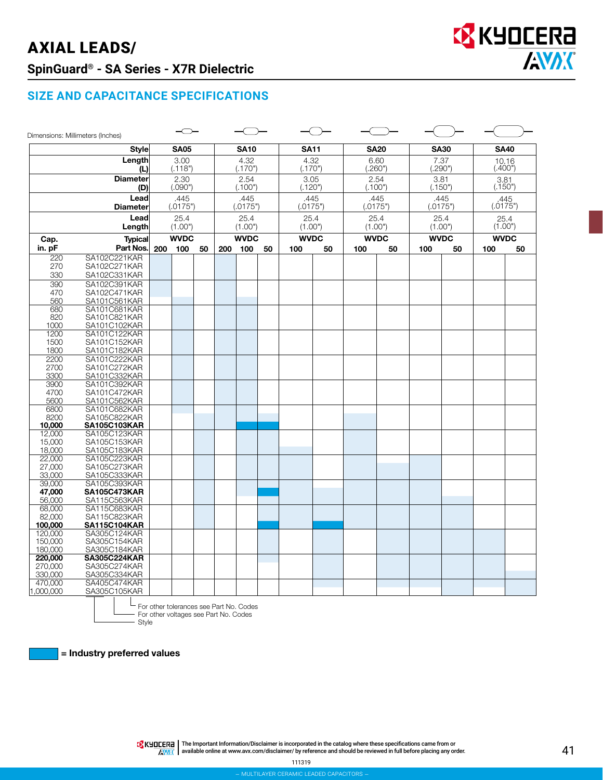# AXIAL LEADS/ **SpinGuard® - SA Series - X7R Dielectric**



|                         | Dimensions: Millimeters (Inches)    |     |                  |    |                  |                 |         |                 |                  |                  |             |                  |         |                 |             |
|-------------------------|-------------------------------------|-----|------------------|----|------------------|-----------------|---------|-----------------|------------------|------------------|-------------|------------------|---------|-----------------|-------------|
|                         | <b>Style</b>                        |     | <b>SA05</b>      |    |                  | <b>SA10</b>     |         |                 | <b>SA11</b>      |                  | <b>SA20</b> | <b>SA30</b>      |         |                 | <b>SA40</b> |
|                         | Length                              |     | 3.00             |    |                  | 4.32            |         |                 | 4.32             |                  | 6.60        | 7.37             |         |                 | 10.16       |
|                         | (L)                                 |     | (.118")          |    |                  | (.170")         |         |                 | (.170")          |                  | (.260")     | (.290")          |         |                 | (.400")     |
|                         | <b>Diameter</b><br>(D)              |     | 2.30<br>(.090")  |    |                  | 2.54<br>(.100") |         | 3.05<br>(.120") |                  | 2.54<br>(.100")  |             | 3.81<br>(.150")  |         | 3.81<br>(.150") |             |
|                         | Lead                                |     |                  |    |                  | .445            |         |                 |                  |                  |             |                  |         | .445            |             |
| <b>Diameter</b><br>Lead |                                     |     | .445<br>(.0175") |    | (.0175")<br>25.4 |                 |         |                 | .445<br>(.0175") | .445<br>(.0175") |             | .445<br>(.0175") |         | (.0175")        |             |
|                         |                                     |     | 25.4             |    |                  |                 |         | 25.4            | 25.4             |                  | 25.4        |                  |         | 25.4            |             |
| Length                  |                                     |     | (1.00")          |    | (1.00")          |                 | (1.00") |                 | (1.00")          |                  | (1.00")     |                  | (1.00") |                 |             |
|                         | <b>Typical</b><br>Cap.              |     | <b>WVDC</b>      |    |                  | <b>WVDC</b>     |         | <b>WVDC</b>     |                  | <b>WVDC</b>      |             | <b>WVDC</b>      |         | <b>WVDC</b>     |             |
| in. pF                  | Part Nos.                           | 200 | 100              | 50 | 200              | 100             | 50      | 100             | 50               | 100              | 50          | 100              | 50      | 100             | 50          |
| 220                     | SA102C221KAR                        |     |                  |    |                  |                 |         |                 |                  |                  |             |                  |         |                 |             |
| 270                     | SA102C271KAR                        |     |                  |    |                  |                 |         |                 |                  |                  |             |                  |         |                 |             |
| 330                     | SA102C331KAR                        |     |                  |    |                  |                 |         |                 |                  |                  |             |                  |         |                 |             |
| 390                     | SA102C391KAR                        |     |                  |    |                  |                 |         |                 |                  |                  |             |                  |         |                 |             |
| 470                     | SA102C471KAR                        |     |                  |    |                  |                 |         |                 |                  |                  |             |                  |         |                 |             |
| 560                     | SA101C561KAR                        |     |                  |    |                  |                 |         |                 |                  |                  |             |                  |         |                 |             |
| 680                     | SA101C681KAR                        |     |                  |    |                  |                 |         |                 |                  |                  |             |                  |         |                 |             |
| 820                     | SA101C821KAR                        |     |                  |    |                  |                 |         |                 |                  |                  |             |                  |         |                 |             |
| 1000                    | SA101C102KAR                        |     |                  |    |                  |                 |         |                 |                  |                  |             |                  |         |                 |             |
| 1200                    | SA101C122KAR                        |     |                  |    |                  |                 |         |                 |                  |                  |             |                  |         |                 |             |
| 1500                    | SA101C152KAR                        |     |                  |    |                  |                 |         |                 |                  |                  |             |                  |         |                 |             |
| 1800                    | SA101C182KAR                        |     |                  |    |                  |                 |         |                 |                  |                  |             |                  |         |                 |             |
| 2200                    | SA101C222KAR                        |     |                  |    |                  |                 |         |                 |                  |                  |             |                  |         |                 |             |
| 2700                    | SA101C272KAR                        |     |                  |    |                  |                 |         |                 |                  |                  |             |                  |         |                 |             |
| 3300                    | SA101C332KAR                        |     |                  |    |                  |                 |         |                 |                  |                  |             |                  |         |                 |             |
| 3900                    | SA101C392KAR                        |     |                  |    |                  |                 |         |                 |                  |                  |             |                  |         |                 |             |
| 4700                    | SA101C472KAR                        |     |                  |    |                  |                 |         |                 |                  |                  |             |                  |         |                 |             |
| 5600                    | SA101C562KAR                        |     |                  |    |                  |                 |         |                 |                  |                  |             |                  |         |                 |             |
| 6800                    | SA101C682KAR                        |     |                  |    |                  |                 |         |                 |                  |                  |             |                  |         |                 |             |
| 8200<br>10,000          | SA105C822KAR<br><b>SA105C103KAR</b> |     |                  |    |                  |                 |         |                 |                  |                  |             |                  |         |                 |             |
| 12,000                  | SA105C123KAR                        |     |                  |    |                  |                 |         |                 |                  |                  |             |                  |         |                 |             |
| 15,000                  | SA105C153KAR                        |     |                  |    |                  |                 |         |                 |                  |                  |             |                  |         |                 |             |
| 18,000                  | SA105C183KAR                        |     |                  |    |                  |                 |         |                 |                  |                  |             |                  |         |                 |             |
| 22,000                  | SA105C223KAR                        |     |                  |    |                  |                 |         |                 |                  |                  |             |                  |         |                 |             |
| 27,000                  | SA105C273KAR                        |     |                  |    |                  |                 |         |                 |                  |                  |             |                  |         |                 |             |
| 33,000                  | SA105C333KAR                        |     |                  |    |                  |                 |         |                 |                  |                  |             |                  |         |                 |             |
| 39,000                  | SA105C393KAR                        |     |                  |    |                  |                 |         |                 |                  |                  |             |                  |         |                 |             |
| 47,000                  | <b>SA105C473KAR</b>                 |     |                  |    |                  |                 |         |                 |                  |                  |             |                  |         |                 |             |
| 56,000                  | SA115C563KAR                        |     |                  |    |                  |                 |         |                 |                  |                  |             |                  |         |                 |             |
| 68,000                  | SA115C683KAR                        |     |                  |    |                  |                 |         |                 |                  |                  |             |                  |         |                 |             |
| 82,000                  | SA115C823KAR                        |     |                  |    |                  |                 |         |                 |                  |                  |             |                  |         |                 |             |
| 100,000                 | <b>SA115C104KAR</b>                 |     |                  |    |                  |                 |         |                 |                  |                  |             |                  |         |                 |             |
| 120,000                 | SA305C124KAR                        |     |                  |    |                  |                 |         |                 |                  |                  |             |                  |         |                 |             |
| 150,000                 | SA305C154KAR                        |     |                  |    |                  |                 |         |                 |                  |                  |             |                  |         |                 |             |
| 180,000                 | SA305C184KAR                        |     |                  |    |                  |                 |         |                 |                  |                  |             |                  |         |                 |             |
| 220,000                 | <b>SA305C224KAR</b>                 |     |                  |    |                  |                 |         |                 |                  |                  |             |                  |         |                 |             |
| 270,000                 | SA305C274KAR                        |     |                  |    |                  |                 |         |                 |                  |                  |             |                  |         |                 |             |
| 330,000                 | SA305C334KAR                        |     |                  |    |                  |                 |         |                 |                  |                  |             |                  |         |                 |             |
| 470,000                 | SA405C474KAR                        |     |                  |    |                  |                 |         |                 |                  |                  |             |                  |         |                 |             |
| 1,000,000               | SA305C105KAR                        |     |                  |    |                  |                 |         |                 |                  |                  |             |                  |         |                 |             |

For other tolerances see Part No. Codes For other voltages see Part No. Codes

Style

= Industry preferred values

The Important Information/Disclaimer is incorporated in the catalog where these specifications came from or<br>available online at [www.avx.com/disclaimer/](http://www.avx.com/disclaimer/) by reference and should be reviewed in full before placing any order.

111319

**EX KYOCERA** 

**AVAX**